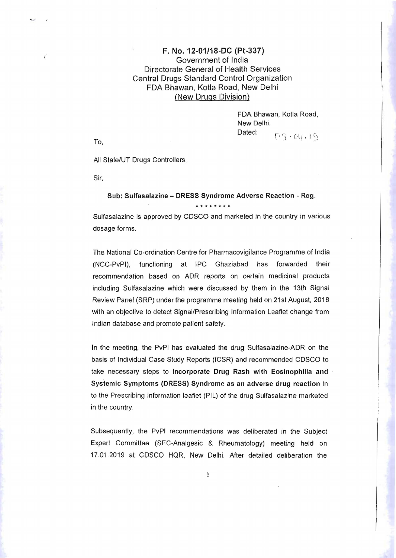## F. No. 12-01/18·DC (Pt-337) ( Government of India Directorate General of Health Services Central Drugs Standard Control Organization FDA Shawan, Kotla Road, New Delhi (New Drugs Division)

FDA Bhawan, Kotla Road, New Delhi. Dated:  $r_{\rm O}$ , and  $r_{\rm O}$  is the set of  $r_{\rm O}$  is  $r_{\rm O}$  .  $r_{\rm O}$  is  $r_{\rm O}$  .  $r_{\rm O}$  . I.  $r_{\rm O}$ 

All State/UT Drugs Controllers,

Sir,

## Sub: Sulfasalazine - DRESS Syndrome Adverse Reaction - Reg. **\*\*\*\*\*\*\*\***

Sulfasalazine is approved by CDSCO and marketed in the country in various dosage forms.

The National Co-ordination Centre for Pharmacovigilance Programme of India (NCC-PvPI), functioning at IPC Ghaziabad has forwarded their recommendation based on ADR reports on certain medicinal products including Sulfasalazine which were discussed by them in the 13th Signal Review Panel (SRP) under the programme meeting held on 21st August, 2018 with an objective to detect Signal/Prescribing Information Leaflet change from Indian database and promote patient safety.

In the meeting, the PvPI has evaluated the drug Sulfasalazine-ADR on the basis of Individual Case Study Reports (lCSR) and recommended CDSCO to take necessary steps to incorporate Drug Rash with Eosinophilia and Systemic Symptoms (DRESS) Syndrome as an adverse drug reaction in to the Prescribing information leaflet (PIL) of the drug Sulfasalazine marketed in the country.

Subsequently, the PvPI recommendations was deliberated in the Subject Expert Committee (SEC-Analgesic & Rheumatology) meeting held on 17.01.2019 at CDSCO HQR, New Delhi. After detailed deliberation the

1